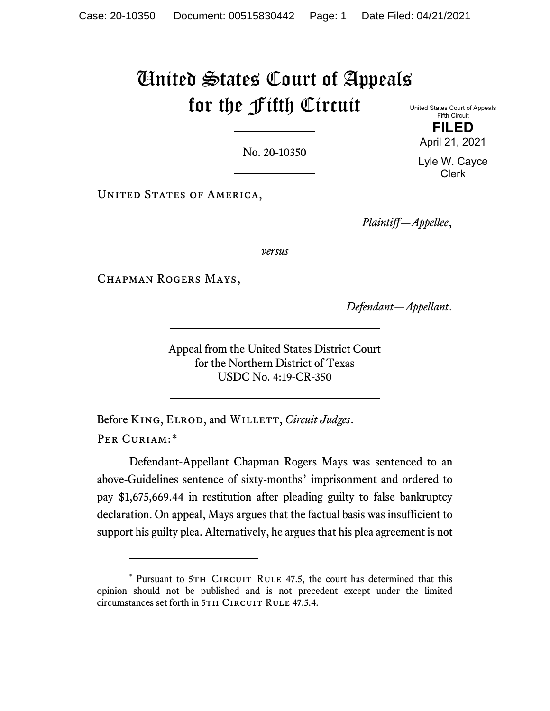# United States Court of Appeals for the Fifth Circuit United States Court of Appeals

No. 20-10350

UNITED STATES OF AMERICA,

*Plaintiff—Appellee*,

*versus*

CHAPMAN ROGERS MAYS,

*Defendant—Appellant*.

Appeal from the United States District Court for the Northern District of Texas USDC No. 4:19-CR-350

Before KING, ELROD, and WILLETT, *Circuit Judges*. PER CURIAM:[\\*](#page-0-0)

Defendant-Appellant Chapman Rogers Mays was sentenced to an above-Guidelines sentence of sixty-months' imprisonment and ordered to pay \$1,675,669.44 in restitution after pleading guilty to false bankruptcy declaration. On appeal, Mays argues that the factual basis was insufficient to support his guilty plea. Alternatively, he argues that his plea agreement is not

Fifth Circuit **FILED** April 21, 2021

Lyle W. Cayce Clerk

<span id="page-0-0"></span><sup>\*</sup> Pursuant to 5TH CIRCUIT RULE 47.5, the court has determined that this opinion should not be published and is not precedent except under the limited circumstances set forth in 5TH CIRCUIT RULE 47.5.4.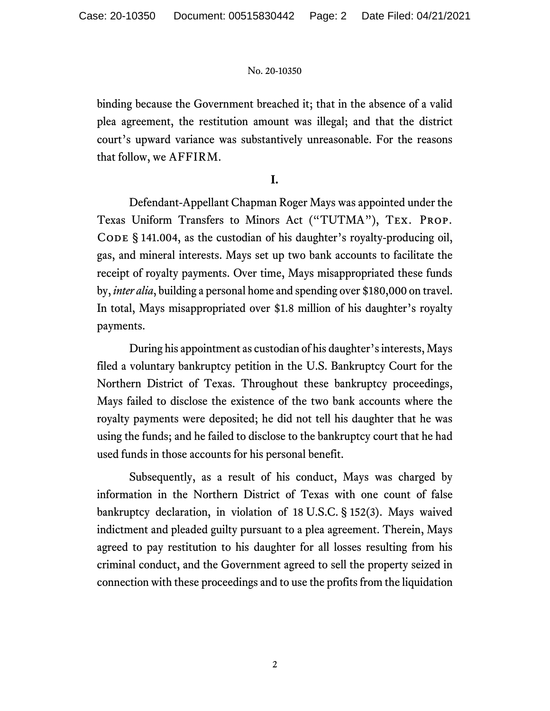binding because the Government breached it; that in the absence of a valid plea agreement, the restitution amount was illegal; and that the district court's upward variance was substantively unreasonable. For the reasons that follow, we AFFIRM.

# **I.**

Defendant-Appellant Chapman Roger Mays was appointed under the Texas Uniform Transfers to Minors Act ("TUTMA"), Tex. Prop. CODE § 141.004, as the custodian of his daughter's royalty-producing oil, gas, and mineral interests. Mays set up two bank accounts to facilitate the receipt of royalty payments. Over time, Mays misappropriated these funds by, *inter alia*, building a personal home and spending over \$180,000 on travel. In total, Mays misappropriated over \$1.8 million of his daughter's royalty payments.

During his appointment as custodian of his daughter's interests, Mays filed a voluntary bankruptcy petition in the U.S. Bankruptcy Court for the Northern District of Texas. Throughout these bankruptcy proceedings, Mays failed to disclose the existence of the two bank accounts where the royalty payments were deposited; he did not tell his daughter that he was using the funds; and he failed to disclose to the bankruptcy court that he had used funds in those accounts for his personal benefit.

Subsequently, as a result of his conduct, Mays was charged by information in the Northern District of Texas with one count of false bankruptcy declaration, in violation of 18 U.S.C. § 152(3). Mays waived indictment and pleaded guilty pursuant to a plea agreement. Therein, Mays agreed to pay restitution to his daughter for all losses resulting from his criminal conduct, and the Government agreed to sell the property seized in connection with these proceedings and to use the profits from the liquidation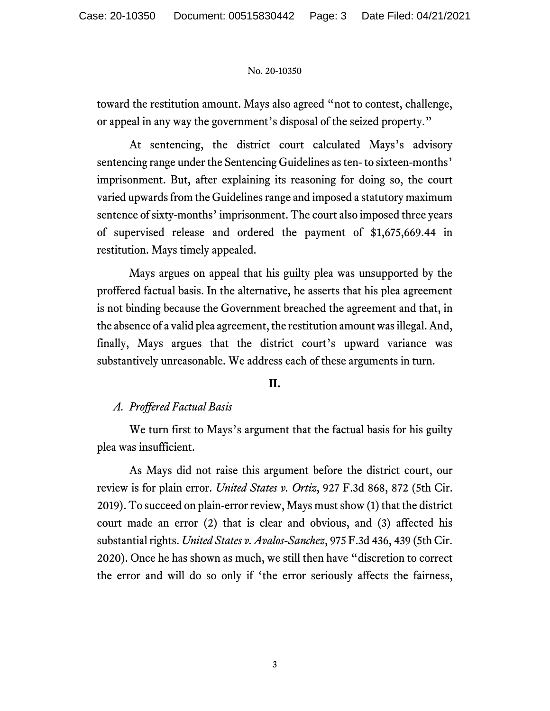toward the restitution amount. Mays also agreed "not to contest, challenge, or appeal in any way the government's disposal of the seized property."

At sentencing, the district court calculated Mays's advisory sentencing range under the Sentencing Guidelines as ten- to sixteen-months' imprisonment. But, after explaining its reasoning for doing so, the court varied upwards from the Guidelines range and imposed a statutory maximum sentence of sixty-months' imprisonment. The court also imposed three years of supervised release and ordered the payment of \$1,675,669.44 in restitution. Mays timely appealed.

Mays argues on appeal that his guilty plea was unsupported by the proffered factual basis. In the alternative, he asserts that his plea agreement is not binding because the Government breached the agreement and that, in the absence of a valid plea agreement, the restitution amount was illegal. And, finally, Mays argues that the district court's upward variance was substantively unreasonable. We address each of these arguments in turn.

# **II.**

# *A. Proffered Factual Basis*

We turn first to Mays's argument that the factual basis for his guilty plea was insufficient.

As Mays did not raise this argument before the district court, our review is for plain error. *United States v. Ortiz*, 927 F.3d 868, 872 (5th Cir. 2019). To succeed on plain-error review, Mays must show (1) that the district court made an error (2) that is clear and obvious, and (3) affected his substantial rights. *United States v. Avalos-Sanchez*, 975 F.3d 436, 439 (5th Cir. 2020). Once he has shown as much, we still then have "discretion to correct the error and will do so only if 'the error seriously affects the fairness,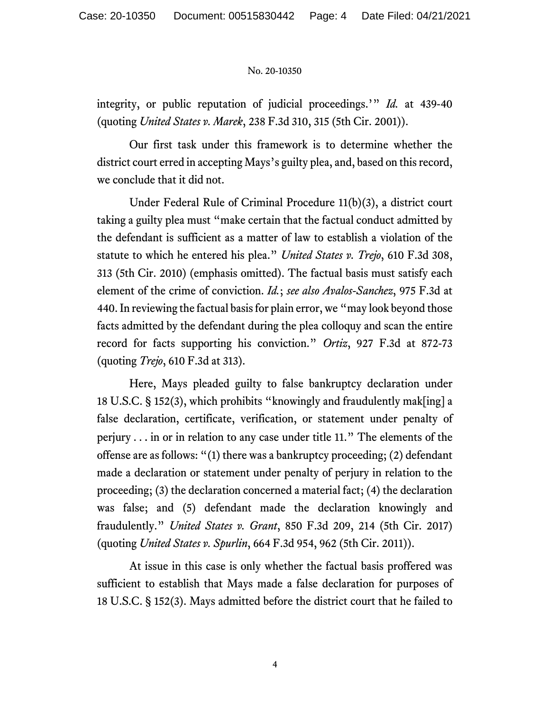integrity, or public reputation of judicial proceedings.'" *Id.* at 439-40 (quoting *United States v. Marek*, 238 F.3d 310, 315 (5th Cir. 2001)).

Our first task under this framework is to determine whether the district court erred in accepting Mays's guilty plea, and, based on this record, we conclude that it did not.

Under Federal Rule of Criminal Procedure 11(b)(3), a district court taking a guilty plea must "make certain that the factual conduct admitted by the defendant is sufficient as a matter of law to establish a violation of the statute to which he entered his plea." *United States v. Trejo*, 610 F.3d 308, 313 (5th Cir. 2010) (emphasis omitted). The factual basis must satisfy each element of the crime of conviction. *Id.*; *see also Avalos-Sanchez*, 975 F.3d at 440. In reviewing the factual basis for plain error, we "may look beyond those facts admitted by the defendant during the plea colloquy and scan the entire record for facts supporting his conviction." *Ortiz*, 927 F.3d at 872-73 (quoting *Trejo*, 610 F.3d at 313).

Here, Mays pleaded guilty to false bankruptcy declaration under 18 U.S.C. § 152(3), which prohibits "knowingly and fraudulently mak[ing] a false declaration, certificate, verification, or statement under penalty of perjury . . . in or in relation to any case under title 11." The elements of the offense are as follows: "(1) there was a bankruptcy proceeding; (2) defendant made a declaration or statement under penalty of perjury in relation to the proceeding; (3) the declaration concerned a material fact; (4) the declaration was false; and (5) defendant made the declaration knowingly and fraudulently." *United States v. Grant*, 850 F.3d 209, 214 (5th Cir. 2017) (quoting *United States v. Spurlin*, 664 F.3d 954, 962 (5th Cir. 2011)).

At issue in this case is only whether the factual basis proffered was sufficient to establish that Mays made a false declaration for purposes of 18 U.S.C. § 152(3). Mays admitted before the district court that he failed to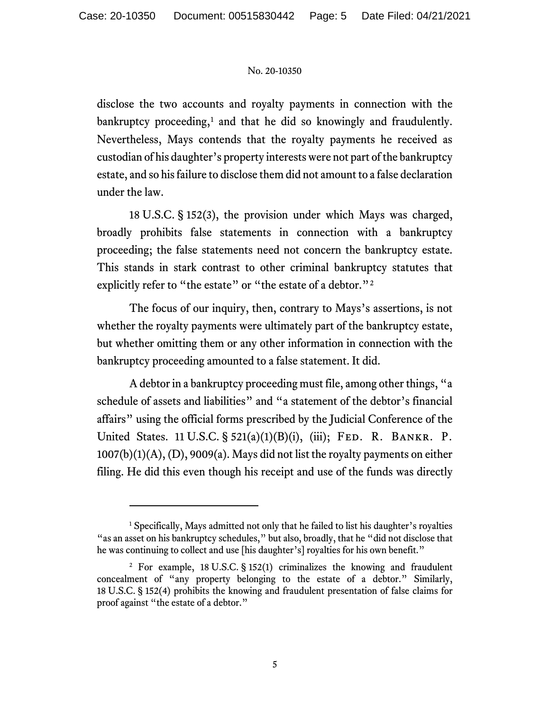disclose the two accounts and royalty payments in connection with the bankruptcy proceeding,<sup>[1](#page-4-0)</sup> and that he did so knowingly and fraudulently. Nevertheless, Mays contends that the royalty payments he received as custodian of his daughter's property interests were not part of the bankruptcy estate, and so his failure to disclose them did not amount to a false declaration under the law.

18 U.S.C. § 152(3), the provision under which Mays was charged, broadly prohibits false statements in connection with a bankruptcy proceeding; the false statements need not concern the bankruptcy estate. This stands in stark contrast to other criminal bankruptcy statutes that explicitly refer to "the estate" or "the estate of a debtor."<sup>[2](#page-4-1)</sup>

The focus of our inquiry, then, contrary to Mays's assertions, is not whether the royalty payments were ultimately part of the bankruptcy estate, but whether omitting them or any other information in connection with the bankruptcy proceeding amounted to a false statement. It did.

A debtor in a bankruptcy proceeding must file, among other things, "a schedule of assets and liabilities" and "a statement of the debtor's financial affairs" using the official forms prescribed by the Judicial Conference of the United States. 11 U.S.C. § 521(a)(1)(B)(i), (iii); Fed. R. Bankr. P. 1007(b)(1)(A), (D), 9009(a). Mays did not list the royalty payments on either filing. He did this even though his receipt and use of the funds was directly

<span id="page-4-0"></span> $<sup>1</sup>$  Specifically, Mays admitted not only that he failed to list his daughter's royalties</sup> "as an asset on his bankruptcy schedules," but also, broadly, that he "did not disclose that he was continuing to collect and use [his daughter's] royalties for his own benefit."

<span id="page-4-1"></span><sup>&</sup>lt;sup>2</sup> For example, 18 U.S.C. § 152(1) criminalizes the knowing and fraudulent concealment of "any property belonging to the estate of a debtor." Similarly, 18 U.S.C. § 152(4) prohibits the knowing and fraudulent presentation of false claims for proof against "the estate of a debtor."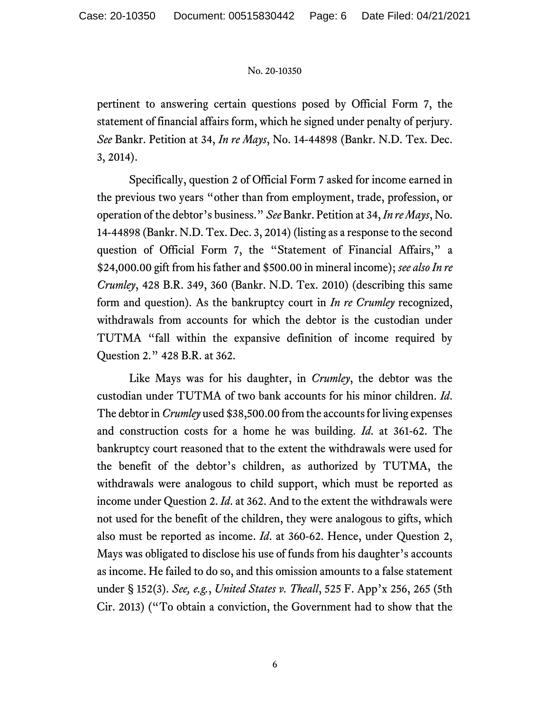pertinent to answering certain questions posed by Official Form 7, the statement of financial affairs form, which he signed under penalty of perjury. *See* Bankr. Petition at 34, *In re Mays*, No. 14-44898 (Bankr. N.D. Tex. Dec. 3, 2014).

Specifically, question 2 of Official Form 7 asked for income earned in the previous two years "other than from employment, trade, profession, or operation of the debtor's business." *See* Bankr. Petition at 34, *In re Mays*, No. 14-44898 (Bankr. N.D. Tex. Dec. 3, 2014) (listing as a response to the second question of Official Form 7, the "Statement of Financial Affairs," a \$24,000.00 gift from his father and \$500.00 in mineral income); *see also In re Crumley*, 428 B.R. 349, 360 (Bankr. N.D. Tex. 2010) (describing this same form and question). As the bankruptcy court in *In re Crumley* recognized, withdrawals from accounts for which the debtor is the custodian under TUTMA "fall within the expansive definition of income required by Question 2." 428 B.R. at 362.

Like Mays was for his daughter, in *Crumley*, the debtor was the custodian under TUTMA of two bank accounts for his minor children. *Id*. The debtor in *Crumley* used \$38,500.00 from the accounts for living expenses and construction costs for a home he was building. *Id*. at 361-62. The bankruptcy court reasoned that to the extent the withdrawals were used for the benefit of the debtor's children, as authorized by TUTMA, the withdrawals were analogous to child support, which must be reported as income under Question 2. *Id*. at 362. And to the extent the withdrawals were not used for the benefit of the children, they were analogous to gifts, which also must be reported as income. *Id*. at 360-62. Hence, under Question 2, Mays was obligated to disclose his use of funds from his daughter's accounts as income. He failed to do so, and this omission amounts to a false statement under § 152(3). *See, e.g.*, *United States v. Theall*, 525 F. App'x 256, 265 (5th Cir. 2013) ("To obtain a conviction, the Government had to show that the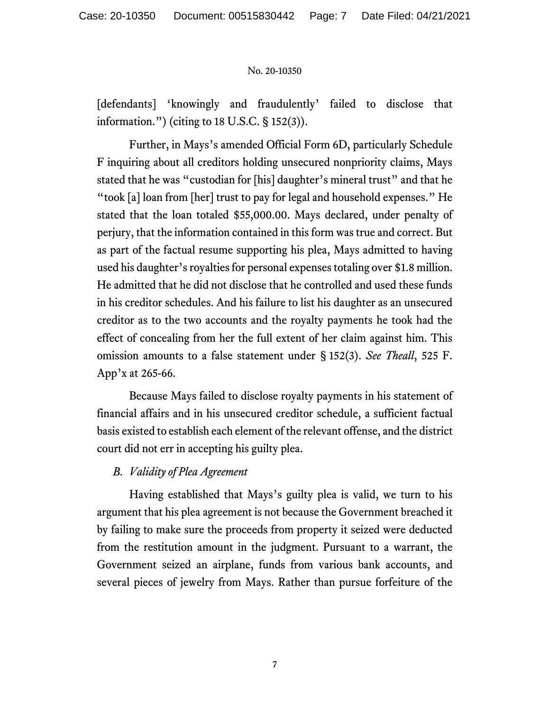[defendants] 'knowingly and fraudulently' failed to disclose that information.") (citing to 18 U.S.C. § 152(3)).

Further, in Mays's amended Official Form 6D, particularly Schedule F inquiring about all creditors holding unsecured nonpriority claims, Mays stated that he was "custodian for [his] daughter's mineral trust" and that he "took [a] loan from [her] trust to pay for legal and household expenses." He stated that the loan totaled \$55,000.00. Mays declared, under penalty of perjury, that the information contained in this form was true and correct. But as part of the factual resume supporting his plea, Mays admitted to having used his daughter's royalties for personal expenses totaling over \$1.8 million. He admitted that he did not disclose that he controlled and used these funds in his creditor schedules. And his failure to list his daughter as an unsecured creditor as to the two accounts and the royalty payments he took had the effect of concealing from her the full extent of her claim against him. This omission amounts to a false statement under § 152(3). *See Theall*, 525 F. App'x at 265-66.

Because Mays failed to disclose royalty payments in his statement of financial affairs and in his unsecured creditor schedule, a sufficient factual basis existed to establish each element of the relevant offense, and the district court did not err in accepting his guilty plea.

# *B. Validity of Plea Agreement*

Having established that Mays's guilty plea is valid, we turn to his argument that his plea agreement is not because the Government breached it by failing to make sure the proceeds from property it seized were deducted from the restitution amount in the judgment. Pursuant to a warrant, the Government seized an airplane, funds from various bank accounts, and several pieces of jewelry from Mays. Rather than pursue forfeiture of the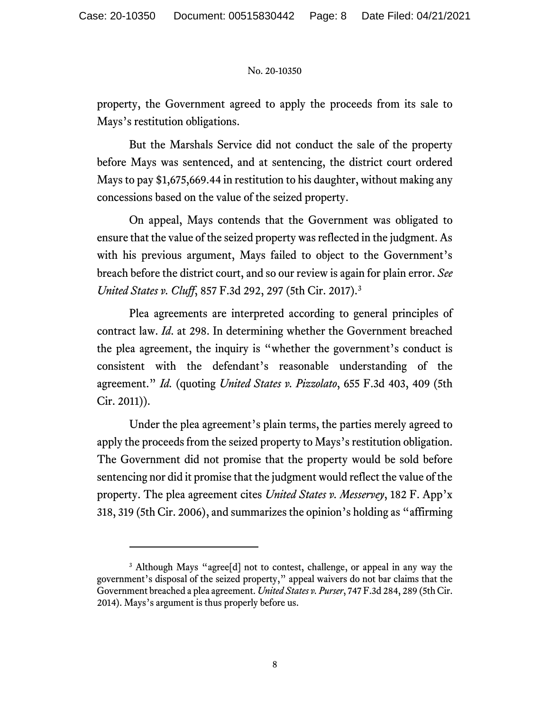property, the Government agreed to apply the proceeds from its sale to Mays's restitution obligations.

But the Marshals Service did not conduct the sale of the property before Mays was sentenced, and at sentencing, the district court ordered Mays to pay \$1,675,669.44 in restitution to his daughter, without making any concessions based on the value of the seized property.

On appeal, Mays contends that the Government was obligated to ensure that the value of the seized property was reflected in the judgment. As with his previous argument, Mays failed to object to the Government's breach before the district court, and so our review is again for plain error. *See United States v. Cluff*, 857 F.3d 292, 297 (5th Cir. 2017).[3](#page-7-0)

Plea agreements are interpreted according to general principles of contract law. *Id*. at 298. In determining whether the Government breached the plea agreement, the inquiry is "whether the government's conduct is consistent with the defendant's reasonable understanding of the agreement." *Id.* (quoting *United States v. Pizzolato*, 655 F.3d 403, 409 (5th Cir. 2011)).

Under the plea agreement's plain terms, the parties merely agreed to apply the proceeds from the seized property to Mays's restitution obligation. The Government did not promise that the property would be sold before sentencing nor did it promise that the judgment would reflect the value of the property. The plea agreement cites *United States v. Messervey*, 182 F. App'x 318, 319 (5th Cir. 2006), and summarizes the opinion's holding as "affirming

<span id="page-7-0"></span><sup>&</sup>lt;sup>3</sup> Although Mays "agree<sup>[d]</sup> not to contest, challenge, or appeal in any way the government's disposal of the seized property," appeal waivers do not bar claims that the Government breached a plea agreement. *United States v. Purser*, 747 F.3d 284, 289 (5th Cir. 2014). Mays's argument is thus properly before us.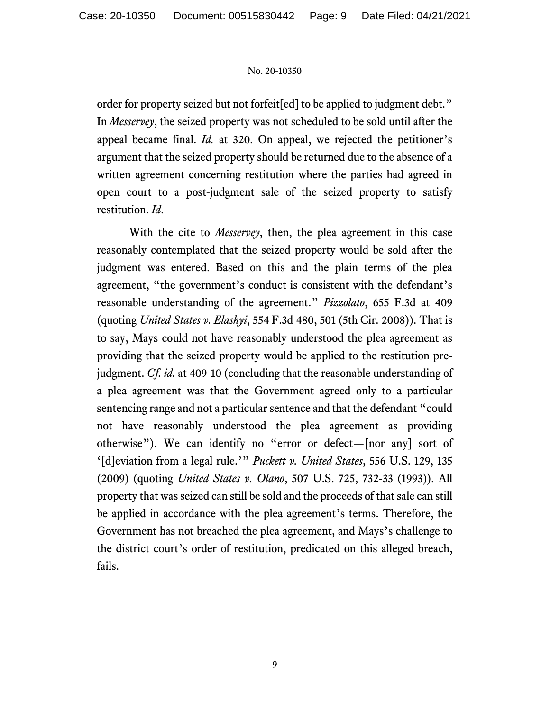order for property seized but not forfeit[ed] to be applied to judgment debt." In *Messervey*, the seized property was not scheduled to be sold until after the appeal became final. *Id.* at 320. On appeal, we rejected the petitioner's argument that the seized property should be returned due to the absence of a written agreement concerning restitution where the parties had agreed in open court to a post-judgment sale of the seized property to satisfy restitution. *Id*.

With the cite to *Messervey*, then, the plea agreement in this case reasonably contemplated that the seized property would be sold after the judgment was entered. Based on this and the plain terms of the plea agreement, "the government's conduct is consistent with the defendant's reasonable understanding of the agreement." *Pizzolato*, 655 F.3d at 409 (quoting *United States v. Elashyi*, 554 F.3d 480, 501 (5th Cir. 2008)). That is to say, Mays could not have reasonably understood the plea agreement as providing that the seized property would be applied to the restitution prejudgment. *Cf. id.* at 409-10 (concluding that the reasonable understanding of a plea agreement was that the Government agreed only to a particular sentencing range and not a particular sentence and that the defendant "could not have reasonably understood the plea agreement as providing otherwise"). We can identify no "error or defect—[nor any] sort of '[d]eviation from a legal rule.'" *Puckett v. United States*, 556 U.S. 129, 135 (2009) (quoting *United States v. Olano*, 507 U.S. 725, 732-33 (1993)). All property that was seized can still be sold and the proceeds of that sale can still be applied in accordance with the plea agreement's terms. Therefore, the Government has not breached the plea agreement, and Mays's challenge to the district court's order of restitution, predicated on this alleged breach, fails.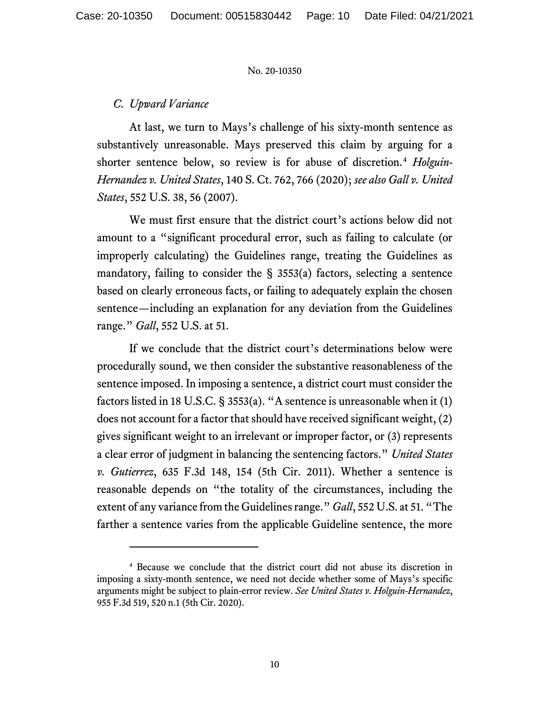### *C. Upward Variance*

At last, we turn to Mays's challenge of his sixty-month sentence as substantively unreasonable. Mays preserved this claim by arguing for a shorter sentence below, so review is for abuse of discretion.[4](#page-9-0) *Holguin-Hernandez v. United States*, 140 S. Ct. 762, 766 (2020); *see also Gall v. United States*, 552 U.S. 38, 56 (2007).

We must first ensure that the district court's actions below did not amount to a "significant procedural error, such as failing to calculate (or improperly calculating) the Guidelines range, treating the Guidelines as mandatory, failing to consider the  $\S$  3553(a) factors, selecting a sentence based on clearly erroneous facts, or failing to adequately explain the chosen sentence—including an explanation for any deviation from the Guidelines range." *Gall*, 552 U.S. at 51.

If we conclude that the district court's determinations below were procedurally sound, we then consider the substantive reasonableness of the sentence imposed. In imposing a sentence, a district court must consider the factors listed in 18 U.S.C. § 3553(a). "A sentence is unreasonable when it (1) does not account for a factor that should have received significant weight, (2) gives significant weight to an irrelevant or improper factor, or (3) represents a clear error of judgment in balancing the sentencing factors." *United States v. Gutierrez*, 635 F.3d 148, 154 (5th Cir. 2011). Whether a sentence is reasonable depends on "the totality of the circumstances, including the extent of any variance from the Guidelines range." *Gall*, 552 U.S. at 51. "The farther a sentence varies from the applicable Guideline sentence, the more

<span id="page-9-0"></span><sup>4</sup> Because we conclude that the district court did not abuse its discretion in imposing a sixty-month sentence, we need not decide whether some of Mays's specific arguments might be subject to plain-error review. *See United States v. Holguin-Hernandez*, 955 F.3d 519, 520 n.1 (5th Cir. 2020).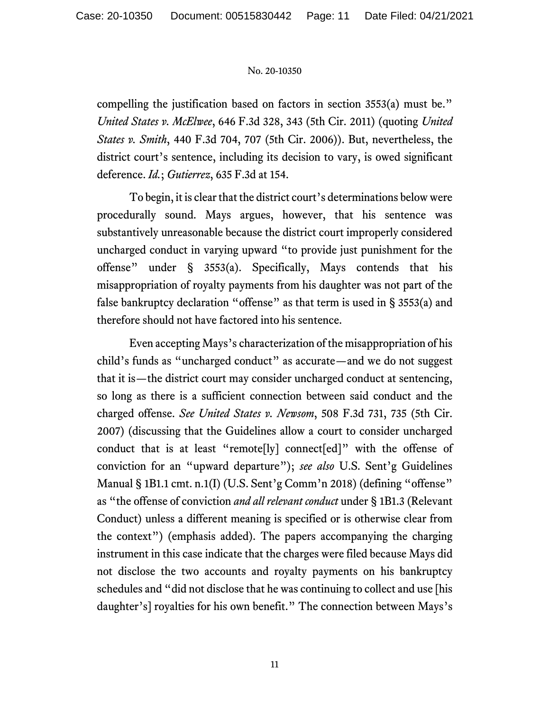compelling the justification based on factors in section 3553(a) must be." *United States v. McElwee*, 646 F.3d 328, 343 (5th Cir. 2011) (quoting *United States v. Smith*, 440 F.3d 704, 707 (5th Cir. 2006)). But, nevertheless, the district court's sentence, including its decision to vary, is owed significant deference. *Id.*; *Gutierrez*, 635 F.3d at 154.

To begin, it is clear that the district court's determinations below were procedurally sound. Mays argues, however, that his sentence was substantively unreasonable because the district court improperly considered uncharged conduct in varying upward "to provide just punishment for the offense" under § 3553(a). Specifically, Mays contends that his misappropriation of royalty payments from his daughter was not part of the false bankruptcy declaration "offense" as that term is used in § 3553(a) and therefore should not have factored into his sentence.

Even accepting Mays's characterization of the misappropriation of his child's funds as "uncharged conduct" as accurate—and we do not suggest that it is—the district court may consider uncharged conduct at sentencing, so long as there is a sufficient connection between said conduct and the charged offense. *See United States v. Newsom*, 508 F.3d 731, 735 (5th Cir. 2007) (discussing that the Guidelines allow a court to consider uncharged conduct that is at least "remote[ly] connect[ed]" with the offense of conviction for an "upward departure"); *see also* U.S. Sent'g Guidelines Manual § 1B1.1 cmt. n.1(I) (U.S. Sent'g Comm'n 2018) (defining "offense" as "the offense of conviction *and all relevant conduct* under § 1B1.3 (Relevant Conduct) unless a different meaning is specified or is otherwise clear from the context") (emphasis added). The papers accompanying the charging instrument in this case indicate that the charges were filed because Mays did not disclose the two accounts and royalty payments on his bankruptcy schedules and "did not disclose that he was continuing to collect and use [his daughter's] royalties for his own benefit." The connection between Mays's